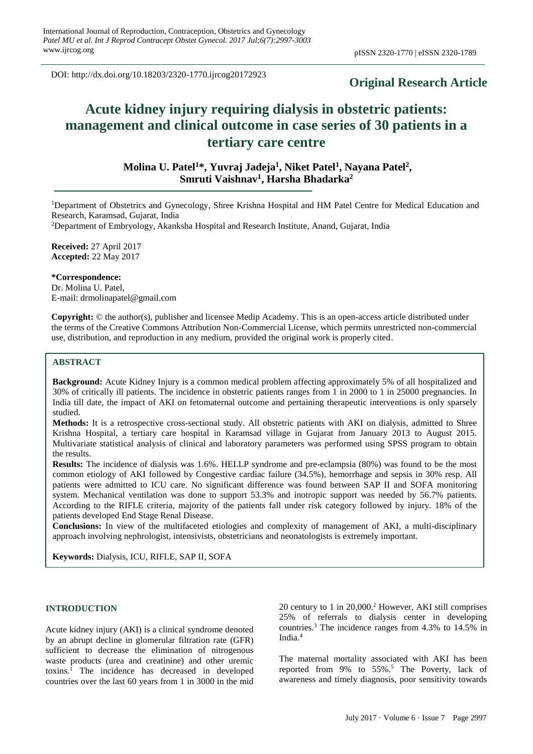DOI: http://dx.doi.org/10.18203/2320-1770.ijrcog20172923

# **Original Research Article**

# **Acute kidney injury requiring dialysis in obstetric patients: management and clinical outcome in case series of 30 patients in a tertiary care centre**

**Molina U. Patel<sup>1</sup>\*, Yuvraj Jadeja<sup>1</sup> , Niket Patel<sup>1</sup> , Nayana Patel<sup>2</sup> , Smruti Vaishnav<sup>1</sup> , Harsha Bhadarka<sup>2</sup>**

<sup>1</sup>Department of Obstetrics and Gynecology, Shree Krishna Hospital and HM Patel Centre for Medical Education and Research, Karamsad, Gujarat, India

<sup>2</sup>Department of Embryology, Akanksha Hospital and Research Institute, Anand, Gujarat, India

**Received:** 27 April 2017 **Accepted:** 22 May 2017

**\*Correspondence:** Dr. Molina U. Patel, E-mail: drmolinapatel@gmail.com

**Copyright:** © the author(s), publisher and licensee Medip Academy. This is an open-access article distributed under the terms of the Creative Commons Attribution Non-Commercial License, which permits unrestricted non-commercial use, distribution, and reproduction in any medium, provided the original work is properly cited.

# **ABSTRACT**

**Background:** Acute Kidney Injury is a common medical problem affecting approximately 5% of all hospitalized and 30% of critically ill patients. The incidence in obstetric patients ranges from 1 in 2000 to 1 in 25000 pregnancies. In India till date, the impact of AKI on fetomaternal outcome and pertaining therapeutic interventions is only sparsely studied.

**Methods:** It is a retrospective cross-sectional study. All obstetric patients with AKI on dialysis, admitted to Shree Krishna Hospital, a tertiary care hospital in Karamsad village in Gujarat from January 2013 to August 2015. Multivariate statistical analysis of clinical and laboratory parameters was performed using SPSS program to obtain the results.

**Results:** The incidence of dialysis was 1.6%. HELLP syndrome and pre-eclampsia (80%) was found to be the most common etiology of AKI followed by Congestive cardiac failure (34.5%), hemorrhage and sepsis in 30% resp. All patients were admitted to ICU care. No significant difference was found between SAP II and SOFA monitoring system. Mechanical ventilation was done to support 53.3% and inotropic support was needed by 56.7% patients. According to the RIFLE criteria, majority of the patients fall under risk category followed by injury. 18% of the patients developed End Stage Renal Disease.

**Conclusions:** In view of the multifaceted etiologies and complexity of management of AKI, a multi-disciplinary approach involving nephrologist, intensivists, obstetricians and neonatologists is extremely important.

**Keywords:** Dialysis, ICU, RIFLE, SAP II, SOFA

#### **INTRODUCTION**

Acute kidney injury (AKI) is a clinical syndrome denoted by an abrupt decline in glomerular filtration rate (GFR) sufficient to decrease the elimination of nitrogenous waste products (urea and creatinine) and other uremic toxins.<sup>1</sup> The incidence has decreased in developed countries over the last 60 years from 1 in 3000 in the mid

20 century to 1 in 20,000. <sup>2</sup> However, AKI still comprises 25% of referrals to dialysis center in developing countries. <sup>3</sup> The incidence ranges from 4.3% to 14.5% in India.<sup>4</sup>

The maternal mortality associated with AKI has been reported from 9% to 55%. <sup>5</sup> The Poverty, lack of awareness and timely diagnosis, poor sensitivity towards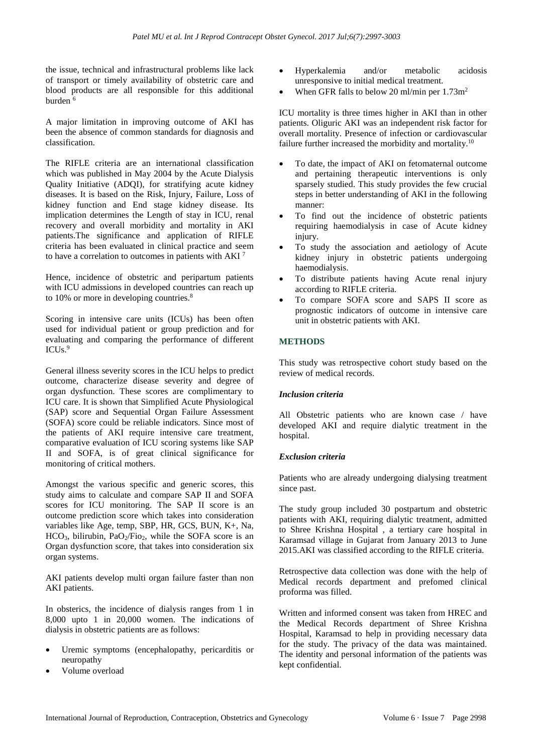the issue, technical and infrastructural problems like lack of transport or timely availability of obstetric care and blood products are all responsible for this additional burden <sup>6</sup>

A major limitation in improving outcome of AKI has been the absence of common standards for diagnosis and classification.

The RIFLE criteria are an international classification which was published in May 2004 by the Acute Dialysis Quality Initiative (ADQI), for stratifying acute kidney diseases. It is based on the Risk, Injury, Failure, Loss of kidney function and End stage kidney disease. Its implication determines the Length of stay in ICU, renal recovery and overall morbidity and mortality in AKI patients.The significance and application of RIFLE criteria has been evaluated in clinical practice and seem to have a correlation to outcomes in patients with AKI <sup>7</sup>

Hence, incidence of obstetric and peripartum patients with ICU admissions in developed countries can reach up to 10% or more in developing countries.<sup>8</sup>

Scoring in intensive care units (ICUs) has been often used for individual patient or group prediction and for evaluating and comparing the performance of different ICUs. 9

General illness severity scores in the ICU helps to predict outcome, characterize disease severity and degree of organ dysfunction. These scores are complimentary to ICU care. It is shown that Simplified Acute Physiological (SAP) score and Sequential Organ Failure Assessment (SOFA) score could be reliable indicators. Since most of the patients of AKI require intensive care treatment, comparative evaluation of ICU scoring systems like SAP II and SOFA, is of great clinical significance for monitoring of critical mothers.

Amongst the various specific and generic scores, this study aims to calculate and compare SAP II and SOFA scores for ICU monitoring. The SAP II score is an outcome prediction score which takes into consideration variables like Age, temp, SBP, HR, GCS, BUN, K+, Na,  $HCO<sub>3</sub>$ , bilirubin, PaO<sub>2</sub>/Fio<sub>2</sub>, while the SOFA score is an Organ dysfunction score, that takes into consideration six organ systems.

AKI patients develop multi organ failure faster than non AKI patients.

In obsterics, the incidence of dialysis ranges from 1 in 8,000 upto 1 in 20,000 women. The indications of dialysis in obstetric patients are as follows:

- Uremic symptoms (encephalopathy, pericarditis or neuropathy
- Volume overload
- Hyperkalemia and/or metabolic acidosis unresponsive to initial medical treatment.
- When GFR falls to below 20 ml/min per 1.73m<sup>2</sup>

ICU mortality is three times higher in AKI than in other patients. Oliguric AKI was an independent risk factor for overall mortality. Presence of infection or cardiovascular failure further increased the morbidity and mortality.<sup>10</sup>

- To date, the impact of AKI on fetomaternal outcome and pertaining therapeutic interventions is only sparsely studied. This study provides the few crucial steps in better understanding of AKI in the following manner:
- To find out the incidence of obstetric patients requiring haemodialysis in case of Acute kidney injury.
- To study the association and aetiology of Acute kidney injury in obstetric patients undergoing haemodialysis.
- To distribute patients having Acute renal injury according to RIFLE criteria.
- To compare SOFA score and SAPS II score as prognostic indicators of outcome in intensive care unit in obstetric patients with AKI.

# **METHODS**

This study was retrospective cohort study based on the review of medical records.

# *Inclusion criteria*

All Obstetric patients who are known case / have developed AKI and require dialytic treatment in the hospital.

# *Exclusion criteria*

Patients who are already undergoing dialysing treatment since past.

The study group included 30 postpartum and obstetric patients with AKI, requiring dialytic treatment, admitted to Shree Krishna Hospital , a tertiary care hospital in Karamsad village in Gujarat from January 2013 to June 2015.AKI was classified according to the RIFLE criteria.

Retrospective data collection was done with the help of Medical records department and prefomed clinical proforma was filled.

Written and informed consent was taken from HREC and the Medical Records department of Shree Krishna Hospital, Karamsad to help in providing necessary data for the study. The privacy of the data was maintained. The identity and personal information of the patients was kept confidential.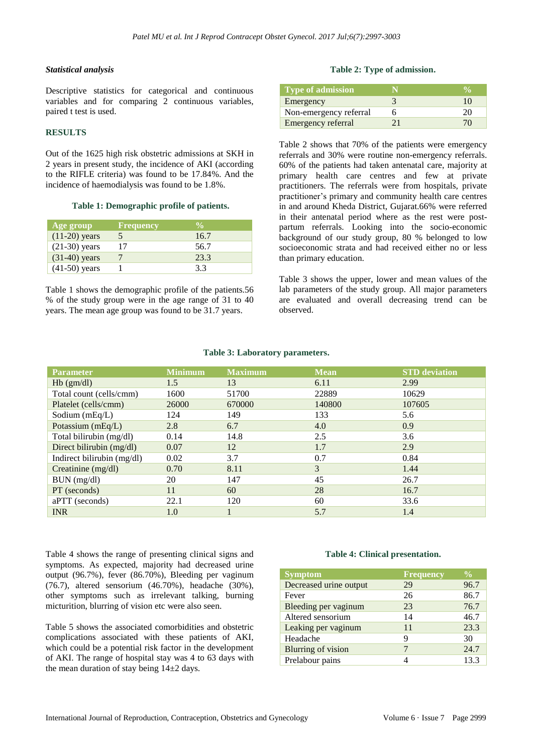# *Statistical analysis*

Descriptive statistics for categorical and continuous variables and for comparing 2 continuous variables, paired t test is used.

#### **RESULTS**

Out of the 1625 high risk obstetric admissions at SKH in 2 years in present study, the incidence of AKI (according to the RIFLE criteria) was found to be 17.84%. And the incidence of haemodialysis was found to be 1.8%.

#### **Table 1: Demographic profile of patients.**

| Age group       | Frequency | $\mathbf{v}_{\mathsf{a}}$ |
|-----------------|-----------|---------------------------|
| $(11-20)$ years |           | 16.7                      |
| $(21-30)$ years | 17        | 56.7                      |
| $(31-40)$ years |           | 23.3                      |
| $(41-50)$ years |           | 3.3                       |

Table 1 shows the demographic profile of the patients.56 % of the study group were in the age range of 31 to 40 years. The mean age group was found to be 31.7 years.

# **Table 2: Type of admission.**

| Type of admission      |  |
|------------------------|--|
| Emergency              |  |
| Non-emergency referral |  |
| Emergency referral     |  |

Table 2 shows that 70% of the patients were emergency referrals and 30% were routine non-emergency referrals. 60% of the patients had taken antenatal care, majority at primary health care centres and few at private practitioners. The referrals were from hospitals, private practitioner's primary and community health care centres in and around Kheda District, Gujarat.66% were referred in their antenatal period where as the rest were postpartum referrals. Looking into the socio-economic background of our study group, 80 % belonged to low socioeconomic strata and had received either no or less than primary education.

Table 3 shows the upper, lower and mean values of the lab parameters of the study group. All major parameters are evaluated and overall decreasing trend can be observed.

| <b>Parameter</b>        | <b>Minimum</b> | <b>Maximum</b> | <b>Mean</b> | <b>STD</b> deviation |
|-------------------------|----------------|----------------|-------------|----------------------|
| $Hb$ (gm/dl)            | 1.5            |                | 6.11        | 2.99                 |
| Total count (cells/cmm) | 1600           | 51700          | 22889       | 10629                |
| Platelet (cells/cmm)    | 26000          | 670000         | 140800      | 107605               |
| Sodium $(mEq/L)$        | 124            | 149            | 133         | 5.6                  |
| Potassium $(mEq/L)$     | 2.8            | 6.7            | 4.0         | 0.9                  |
| Total bilirubin (mg/dl) | 0.14           | 14.8           | 2.5         | 3.6                  |

Direct bilirubin (mg/dl)  $0.07$  12 1.7 2.9 Indirect bilirubin (mg/dl) 0.02 3.7 0.7 0.84 Creatinine  $(mg/dl)$  0.70 8.11 3 1.44 BUN (mg/dl) 20 147 45 26.7 PT (seconds) 11 60 28 16.7 aPTT (seconds) 22.1 120 60 33.6 INR 1.0 1 5.7 1.4

# **Table 3: Laboratory parameters.**

Table 4 shows the range of presenting clinical signs and symptoms. As expected, majority had decreased urine output (96.7%), fever (86.70%), Bleeding per vaginum (76.7), altered sensorium (46.70%), headache (30%), other symptoms such as irrelevant talking, burning micturition, blurring of vision etc were also seen.

Table 5 shows the associated comorbidities and obstetric complications associated with these patients of AKI, which could be a potential risk factor in the development of AKI. The range of hospital stay was 4 to 63 days with the mean duration of stay being  $14\pm 2$  days.

# **Table 4: Clinical presentation.**

| <b>Symptom</b>            | <b>Frequency</b> | $\frac{0}{0}$ |
|---------------------------|------------------|---------------|
| Decreased urine output    | 29               | 96.7          |
| Fever                     | 26               | 86.7          |
| Bleeding per vaginum      | 23               | 76.7          |
| Altered sensorium         | 14               | 46.7          |
| Leaking per vaginum       | 11               | 23.3          |
| Headache                  | 9                | 30            |
| <b>Blurring of vision</b> |                  | 24.7          |
| Prelabour pains           |                  | 13.3          |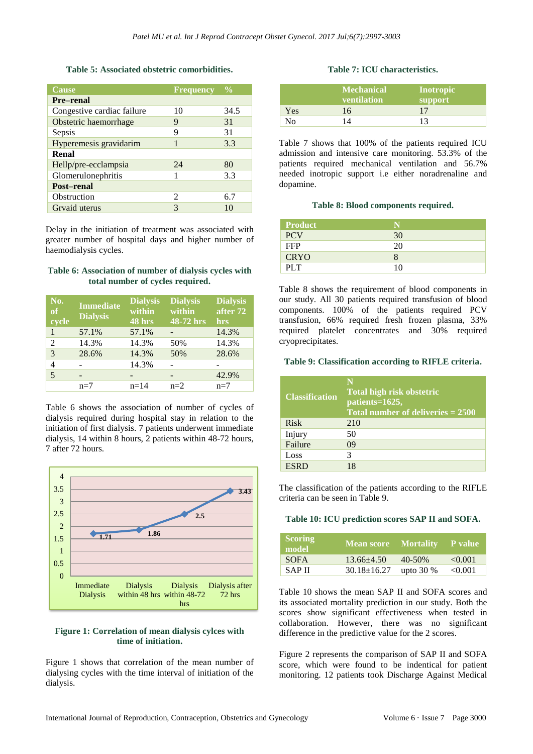#### **Table 5: Associated obstetric comorbidities.**

| Cause                      | <b>Frequency</b> | $\frac{0}{0}$ |
|----------------------------|------------------|---------------|
| <b>Pre-renal</b>           |                  |               |
| Congestive cardiac failure | 10               | 34.5          |
| Obstetric haemorrhage      | 9                | 31            |
| Sepsis                     | 9                | 31            |
| Hyperemesis gravidarim     |                  | 3.3           |
| Renal                      |                  |               |
| Hellp/pre-ecclampsia       | 24               | 80            |
| Glomerulonephritis         |                  | 3.3           |
| Post-renal                 |                  |               |
| Obstruction                | 2                | 6.7           |
| Grvaid uterus              | 3                | 10            |

Delay in the initiation of treatment was associated with greater number of hospital days and higher number of haemodialysis cycles.

#### **Table 6: Association of number of dialysis cycles with total number of cycles required.**

| No.<br>of<br>cycle | <b>Immediate</b><br><b>Dialysis</b> | <b>Dialysis</b><br>within<br>48 hrs | <b>Dialysis</b><br>within<br>48-72 hrs | <b>Dialysis</b><br>after 72<br>hrs |
|--------------------|-------------------------------------|-------------------------------------|----------------------------------------|------------------------------------|
| 1                  | 57.1%                               | 57.1%                               |                                        | 14.3%                              |
| 2                  | 14.3%                               | 14.3%                               | 50%                                    | 14.3%                              |
| 3                  | 28.6%                               | 14.3%                               | 50%                                    | 28.6%                              |
| 4                  |                                     | 14.3%                               |                                        |                                    |
| 5                  |                                     |                                     |                                        | 42.9%                              |
|                    | $n=7$                               | $n = 14$                            | $n=2$                                  | $n=7$                              |

Table 6 shows the association of number of cycles of dialysis required during hospital stay in relation to the initiation of first dialysis. 7 patients underwent immediate dialysis, 14 within 8 hours, 2 patients within 48-72 hours, 7 after 72 hours.



# **Figure 1: Correlation of mean dialysis cylces with time of initiation.**

Figure 1 shows that correlation of the mean number of dialysing cycles with the time interval of initiation of the dialysis.

# **Table 7: ICU characteristics.**

|     | <b>Mechanical</b><br>ventilation' | Inotropic<br>support |
|-----|-----------------------------------|----------------------|
| Yes | 16                                |                      |
| Nο  | $\overline{A}$                    |                      |

Table 7 shows that 100% of the patients required ICU admission and intensive care monitoring. 53.3% of the patients required mechanical ventilation and 56.7% needed inotropic support i.e either noradrenaline and dopamine.

#### **Table 8: Blood components required.**

| <b>Product</b> |    |
|----------------|----|
| <b>PCV</b>     | 30 |
| <b>FFP</b>     | 20 |
| <b>CRYO</b>    |    |
| PLT            | 10 |

Table 8 shows the requirement of blood components in our study. All 30 patients required transfusion of blood components. 100% of the patients required PCV transfusion, 66% required fresh frozen plasma, 33% required platelet concentrates and 30% required cryoprecipitates.

#### **Table 9: Classification according to RIFLE criteria.**

| <b>Classification</b> | Total high risk obstetric<br>patients=1625,<br>Total number of deliveries $= 2500$ |
|-----------------------|------------------------------------------------------------------------------------|
| Risk                  | 210                                                                                |
| Injury                | 50                                                                                 |
| Failure               | 09                                                                                 |
| Loss                  | 3                                                                                  |
| <b>ESRD</b>           | 18                                                                                 |

The classification of the patients according to the RIFLE criteria can be seen in Table 9.

#### **Table 10: ICU prediction scores SAP II and SOFA.**

| <b>Scoring</b><br>model | <b>Mean score</b> Mortality P value |             |         |
|-------------------------|-------------------------------------|-------------|---------|
| <b>SOFA</b>             | $13.66 + 4.50$                      | $40 - 50\%$ | < 0.001 |
| <b>SAPII</b>            | $30.18 \pm 16.27$                   | upto $30\%$ | < 0.001 |

Table 10 shows the mean SAP II and SOFA scores and its associated mortality prediction in our study. Both the scores show significant effectiveness when tested in collaboration. However, there was no significant difference in the predictive value for the 2 scores.

Figure 2 represents the comparison of SAP II and SOFA score, which were found to be indentical for patient monitoring. 12 patients took Discharge Against Medical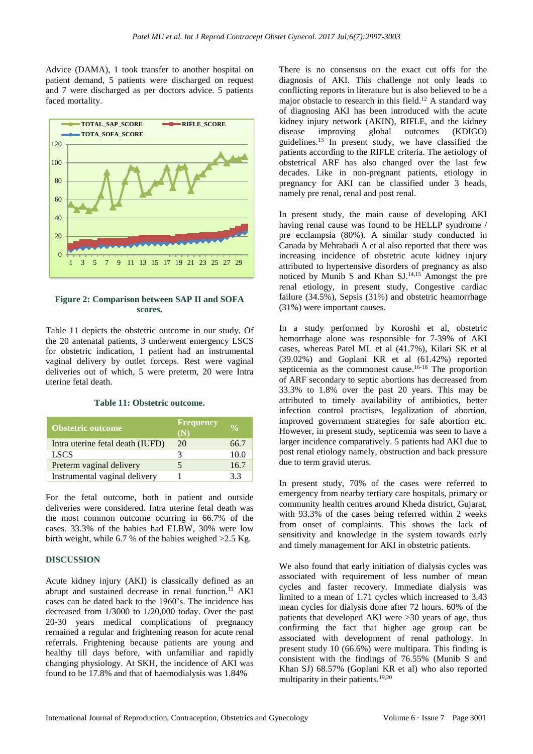Advice (DAMA), 1 took transfer to another hospital on patient demand, 5 patients were discharged on request and 7 were discharged as per doctors advice. 5 patients faced mortality.



**Figure 2: Comparison between SAP II and SOFA scores.**

Table 11 depicts the obstetric outcome in our study. Of the 20 antenatal patients, 3 underwent emergency LSCS for obstetric indication, 1 patient had an instrumental vaginal delivery by outlet forceps. Rest were vaginal deliveries out of which, 5 were preterm, 20 were Intra uterine fetal death.

#### **Table 11: Obstetric outcome.**

| Obstetric outcome                | <b>Frequency</b><br>(N) |      |
|----------------------------------|-------------------------|------|
| Intra uterine fetal death (IUFD) | 20                      | 66.7 |
| <b>LSCS</b>                      | 3                       | 10.0 |
| Preterm vaginal delivery         | 5                       | 16.7 |
| Instrumental vaginal delivery    |                         | 33   |

For the fetal outcome, both in patient and outside deliveries were considered. Intra uterine fetal death was the most common outcome ocurring in 66.7% of the cases. 33.3% of the babies had ELBW, 30% were low birth weight, while 6.7 % of the babies weighed >2.5 Kg.

#### **DISCUSSION**

Acute kidney injury (AKI) is classically defined as an abrupt and sustained decrease in renal function.<sup>11</sup> AKI cases can be dated back to the 1960's. The incidence has decreased from 1/3000 to 1/20,000 today. Over the past 20-30 years medical complications of pregnancy remained a regular and frightening reason for acute renal referrals. Frightening because patients are young and healthy till days before, with unfamiliar and rapidly changing physiology. At SKH, the incidence of AKI was found to be 17.8% and that of haemodialysis was 1.84%

There is no consensus on the exact cut offs for the diagnosis of AKI. This challenge not only leads to conflicting reports in literature but is also believed to be a major obstacle to research in this field.<sup>12</sup> A standard way of diagnosing AKI has been introduced with the acute kidney injury network (AKIN), RIFLE, and the kidney disease improving global outcomes (KDIGO) guidelines. <sup>13</sup> In present study, we have classified the patients according to the RIFLE criteria. The aetiology of obstetrical ARF has also changed over the last few decades. Like in non-pregnant patients, etiology in pregnancy for AKI can be classified under 3 heads, namely pre renal, renal and post renal.

In present study, the main cause of developing AKI having renal cause was found to be HELLP syndrome / pre ecclampsia (80%). A similar study conducted in Canada by Mehrabadi A et al also reported that there was increasing incidence of obstetric acute kidney injury attributed to hypertensive disorders of pregnancy as also noticed by Munib S and Khan  $SL^{14,15}$  Amongst the pre renal etiology, in present study, Congestive cardiac failure (34.5%), Sepsis (31%) and obstetric heamorrhage (31%) were important causes.

In a study performed by Koroshi et al, obstetric hemorrhage alone was responsible for 7-39% of AKI cases, whereas Patel ML et al (41.7%), Kilari SK et al (39.02%) and Goplani KR et al (61.42%) reported septicemia as the commonest cause.<sup>16-18</sup> The proportion of ARF secondary to septic abortions has decreased from 33.3% to 1.8% over the past 20 years. This may be attributed to timely availability of antibiotics, better infection control practises, legalization of abortion, improved government strategies for safe abortion etc. However, in present study, septicemia was seen to have a larger incidence comparatively. 5 patients had AKI due to post renal etiology namely, obstruction and back pressure due to term gravid uterus.

In present study, 70% of the cases were referred to emergency from nearby tertiary care hospitals, primary or community health centres around Kheda district, Gujarat, with 93.3% of the cases being referred within 2 weeks from onset of complaints. This shows the lack of sensitivity and knowledge in the system towards early and timely management for AKI in obstetric patients.

We also found that early initiation of dialysis cycles was associated with requirement of less number of mean cycles and faster recovery. Immediate dialysis was limited to a mean of 1.71 cycles which increased to 3.43 mean cycles for dialysis done after 72 hours. 60% of the patients that developed AKI were >30 years of age, thus confirming the fact that higher age group can be associated with development of renal pathology. In present study 10 (66.6%) were multipara. This finding is consistent with the findings of 76.55% (Munib S and Khan SJ) 68.57% (Goplani KR et al) who also reported multiparity in their patients.<sup>19,20</sup>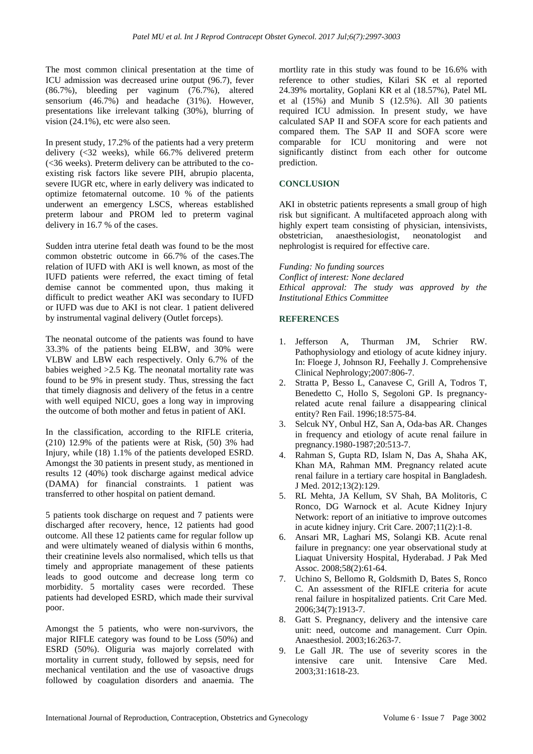The most common clinical presentation at the time of ICU admission was decreased urine output (96.7), fever (86.7%), bleeding per vaginum (76.7%), altered sensorium (46.7%) and headache (31%). However, presentations like irrelevant talking (30%), blurring of vision (24.1%), etc were also seen.

In present study, 17.2% of the patients had a very preterm delivery (<32 weeks), while 66.7% delivered preterm (<36 weeks). Preterm delivery can be attributed to the coexisting risk factors like severe PIH, abrupio placenta, severe IUGR etc, where in early delivery was indicated to optimize fetomaternal outcome. 10 % of the patients underwent an emergency LSCS, whereas established preterm labour and PROM led to preterm vaginal delivery in 16.7 % of the cases.

Sudden intra uterine fetal death was found to be the most common obstetric outcome in 66.7% of the cases.The relation of IUFD with AKI is well known, as most of the IUFD patients were referred, the exact timing of fetal demise cannot be commented upon, thus making it difficult to predict weather AKI was secondary to IUFD or IUFD was due to AKI is not clear. 1 patient delivered by instrumental vaginal delivery (Outlet forceps).

The neonatal outcome of the patients was found to have 33.3% of the patients being ELBW, and 30% were VLBW and LBW each respectively. Only 6.7% of the babies weighed  $>2.5$  Kg. The neonatal mortality rate was found to be 9% in present study. Thus, stressing the fact that timely diagnosis and delivery of the fetus in a centre with well equiped NICU, goes a long way in improving the outcome of both mother and fetus in patient of AKI.

In the classification, according to the RIFLE criteria,  $(210)$  12.9% of the patients were at Risk,  $(50)$  3% had Injury, while (18) 1.1% of the patients developed ESRD. Amongst the 30 patients in present study, as mentioned in results 12 (40%) took discharge against medical advice (DAMA) for financial constraints. 1 patient was transferred to other hospital on patient demand.

5 patients took discharge on request and 7 patients were discharged after recovery, hence, 12 patients had good outcome. All these 12 patients came for regular follow up and were ultimately weaned of dialysis within 6 months, their creatinine levels also normalised, which tells us that timely and appropriate management of these patients leads to good outcome and decrease long term co morbidity. 5 mortality cases were recorded. These patients had developed ESRD, which made their survival poor.

Amongst the 5 patients, who were non-survivors, the major RIFLE category was found to be Loss (50%) and ESRD (50%). Oliguria was majorly correlated with mortality in current study, followed by sepsis, need for mechanical ventilation and the use of vasoactive drugs followed by coagulation disorders and anaemia. The mortlity rate in this study was found to be 16.6% with reference to other studies, Kilari SK et al reported 24.39% mortality, Goplani KR et al (18.57%), Patel ML et al (15%) and Munib S (12.5%). All 30 patients required ICU admission. In present study, we have calculated SAP II and SOFA score for each patients and compared them. The SAP II and SOFA score were comparable for ICU monitoring and were not significantly distinct from each other for outcome prediction.

# **CONCLUSION**

AKI in obstetric patients represents a small group of high risk but significant. A multifaceted approach along with highly expert team consisting of physician, intensivists, obstetrician, anaesthesiologist, neonatologist and nephrologist is required for effective care.

*Funding: No funding sources Conflict of interest: None declared Ethical approval: The study was approved by the Institutional Ethics Committee*

#### **REFERENCES**

- 1. Jefferson A, Thurman JM, Schrier RW. Pathophysiology and etiology of acute kidney injury. In: Floege J, Johnson RJ, Feehally J. Comprehensive Clinical Nephrology;2007:806-7.
- 2. Stratta P, Besso L, Canavese C, Grill A, Todros T, Benedetto C, Hollo S, Segoloni GP. Is pregnancyrelated acute renal failure a disappearing clinical entity? Ren Fail. 1996;18:575-84.
- 3. Selcuk NY, Onbul HZ, San A, Oda-bas AR. Changes in frequency and etiology of acute renal failure in pregnancy.1980-1987;20:513-7.
- 4. Rahman S, Gupta RD, Islam N, Das A, Shaha AK, Khan MA, Rahman MM. Pregnancy related acute renal failure in a tertiary care hospital in Bangladesh. J Med. 2012;13(2):129.
- 5. RL Mehta, JA Kellum, SV Shah, BA Molitoris, C Ronco, DG Warnock et al. Acute Kidney Injury Network: report of an initiative to improve outcomes in acute kidney injury. Crit Care. 2007;11(2):1-8.
- 6. Ansari MR, Laghari MS, Solangi KB. Acute renal failure in pregnancy: one year observational study at Liaquat University Hospital, Hyderabad. J Pak Med Assoc. 2008;58(2):61-64.
- 7. Uchino S, Bellomo R, Goldsmith D, Bates S, Ronco C. An assessment of the RIFLE criteria for acute renal failure in hospitalized patients. Crit Care Med. 2006;34(7):1913-7.
- 8. Gatt S. Pregnancy, delivery and the intensive care unit: need, outcome and management. Curr Opin. Anaesthesiol. 2003;16:263-7.
- 9. Le Gall JR. The use of severity scores in the intensive care unit. Intensive Care Med. 2003;31:1618-23.